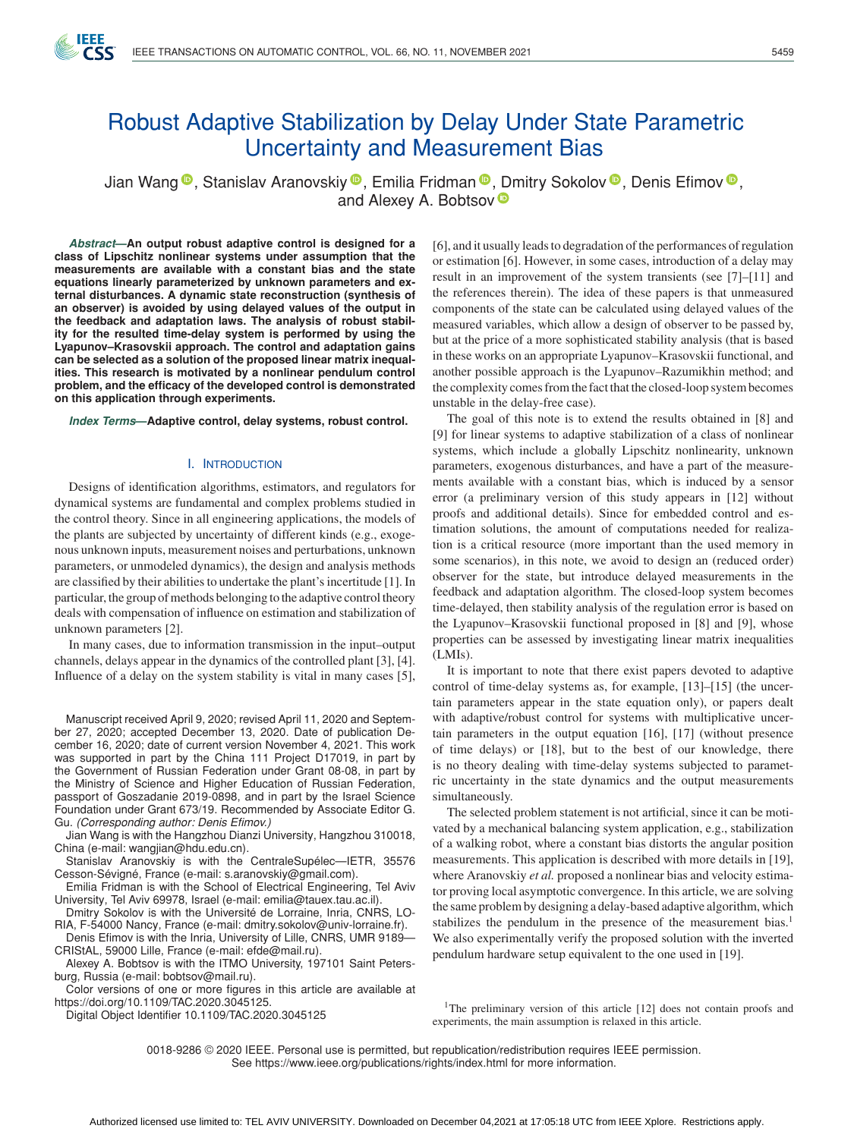

# Robust Adaptive Stabilization by Delay Under State Parametric Uncertainty and Measurement Bias

Jian Wang<sup>®</sup>[,](https://orcid.org/0000-0001-8847-5235) Stanislav Aranovskiy<sup>®</sup>, Emilia Fridman<sup>®</sup>, [D](https://orcid.org/0000-0003-1854-6717)mitry Sokolov<sup>®</sup>, Denis Efimov<sup>®</sup>, and Alexey A. Bobtsov<sup>®</sup>

*Abstract***—An output robust adaptive control is designed for a class of Lipschitz nonlinear systems under assumption that the measurements are available with a constant bias and the state equations linearly parameterized by unknown parameters and external disturbances. A dynamic state reconstruction (synthesis of an observer) is avoided by using delayed values of the output in the feedback and adaptation laws. The analysis of robust stability for the resulted time-delay system is performed by using the Lyapunov–Krasovskii approach. The control and adaptation gains can be selected as a solution of the proposed linear matrix inequalities. This research is motivated by a nonlinear pendulum control problem, and the efficacy of the developed control is demonstrated on this application through experiments.**

*Index Terms***—Adaptive control, delay systems, robust control.**

### I. INTRODUCTION

Designs of identification algorithms, estimators, and regulators for dynamical systems are fundamental and complex problems studied in the control theory. Since in all engineering applications, the models of the plants are subjected by uncertainty of different kinds (e.g., exogenous unknown inputs, measurement noises and perturbations, unknown parameters, or unmodeled dynamics), the design and analysis methods are classified by their abilities to undertake the plant's incertitude [1]. In particular, the group of methods belonging to the adaptive control theory deals with compensation of influence on estimation and stabilization of unknown parameters [2].

In many cases, due to information transmission in the input–output channels, delays appear in the dynamics of the controlled plant [3], [4]. Influence of a delay on the system stability is vital in many cases [5],

Manuscript received April 9, 2020; revised April 11, 2020 and September 27, 2020; accepted December 13, 2020. Date of publication December 16, 2020; date of current version November 4, 2021. This work was supported in part by the China 111 Project D17019, in part by the Government of Russian Federation under Grant 08-08, in part by the Ministry of Science and Higher Education of Russian Federation, passport of Goszadanie 2019-0898, and in part by the Israel Science Foundation under Grant 673/19. Recommended by Associate Editor G. Gu. *(Corresponding author: Denis Efimov.)*

Jian Wang is with the Hangzhou Dianzi University, Hangzhou 310018, China (e-mail: [wangjian@hdu.edu.cn\)](mailto:wangjian@hdu.edu.cn).

Stanislav Aranovskiy is with the CentraleSupélec—IETR, 35576 Cesson-Sévigné, France (e-mail: [s.aranovskiy@gmail.com\)](mailto:s.aranovskiy@gmail.com).

Emilia Fridman is with the School of Electrical Engineering, Tel Aviv University, Tel Aviv 69978, Israel (e-mail: [emilia@tauex.tau.ac.il\)](mailto:emilia@tauex.tau.ac.il).

Dmitry Sokolov is with the Université de Lorraine, Inria, CNRS, LO-RIA, F-54000 Nancy, France (e-mail: [dmitry.sokolov@univ-lorraine.fr\)](mailto:dmitry.sokolov@univ-lorraine.fr).

Denis Efimov is with the Inria, University of Lille, CNRS, UMR 9189— CRIStAL, 59000 Lille, France (e-mail: [efde@mail.ru\)](mailto:efde@mail.ru).

Alexey A. Bobtsov is with the ITMO University, 197101 Saint Petersburg, Russia (e-mail: [bobtsov@mail.ru\)](mailto:bobtsov@mail.ru).

Color versions of one or more figures in this article are available at [https://doi.org/10.1109/TAC.2020.3045125.](https://doi.org/10.1109/TAC.2020.3045125)

Digital Object Identifier 10.1109/TAC.2020.3045125

[6], and it usually leads to degradation of the performances of regulation or estimation [6]. However, in some cases, introduction of a delay may result in an improvement of the system transients (see [7]–[11] and the references therein). The idea of these papers is that unmeasured components of the state can be calculated using delayed values of the measured variables, which allow a design of observer to be passed by, but at the price of a more sophisticated stability analysis (that is based in these works on an appropriate Lyapunov–Krasovskii functional, and another possible approach is the Lyapunov–Razumikhin method; and the complexity comes from the fact that the closed-loop system becomes unstable in the delay-free case).

The goal of this note is to extend the results obtained in [8] and [9] for linear systems to adaptive stabilization of a class of nonlinear systems, which include a globally Lipschitz nonlinearity, unknown parameters, exogenous disturbances, and have a part of the measurements available with a constant bias, which is induced by a sensor error (a preliminary version of this study appears in [12] without proofs and additional details). Since for embedded control and estimation solutions, the amount of computations needed for realization is a critical resource (more important than the used memory in some scenarios), in this note, we avoid to design an (reduced order) observer for the state, but introduce delayed measurements in the feedback and adaptation algorithm. The closed-loop system becomes time-delayed, then stability analysis of the regulation error is based on the Lyapunov–Krasovskii functional proposed in [8] and [9], whose properties can be assessed by investigating linear matrix inequalities (LMIs).

It is important to note that there exist papers devoted to adaptive control of time-delay systems as, for example, [13]–[15] (the uncertain parameters appear in the state equation only), or papers dealt with adaptive/robust control for systems with multiplicative uncertain parameters in the output equation [16], [17] (without presence of time delays) or [18], but to the best of our knowledge, there is no theory dealing with time-delay systems subjected to parametric uncertainty in the state dynamics and the output measurements simultaneously.

The selected problem statement is not artificial, since it can be motivated by a mechanical balancing system application, e.g., stabilization of a walking robot, where a constant bias distorts the angular position measurements. This application is described with more details in [19], where Aranovskiy *et al.* proposed a nonlinear bias and velocity estimator proving local asymptotic convergence. In this article, we are solving the same problem by designing a delay-based adaptive algorithm, which stabilizes the pendulum in the presence of the measurement bias.<sup>1</sup> We also experimentally verify the proposed solution with the inverted pendulum hardware setup equivalent to the one used in [19].

<sup>1</sup>The preliminary version of this article [12] does not contain proofs and experiments, the main assumption is relaxed in this article.

0018-9286 © 2020 IEEE. Personal use is permitted, but republication/redistribution requires IEEE permission. See https://www.ieee.org/publications/rights/index.html for more information.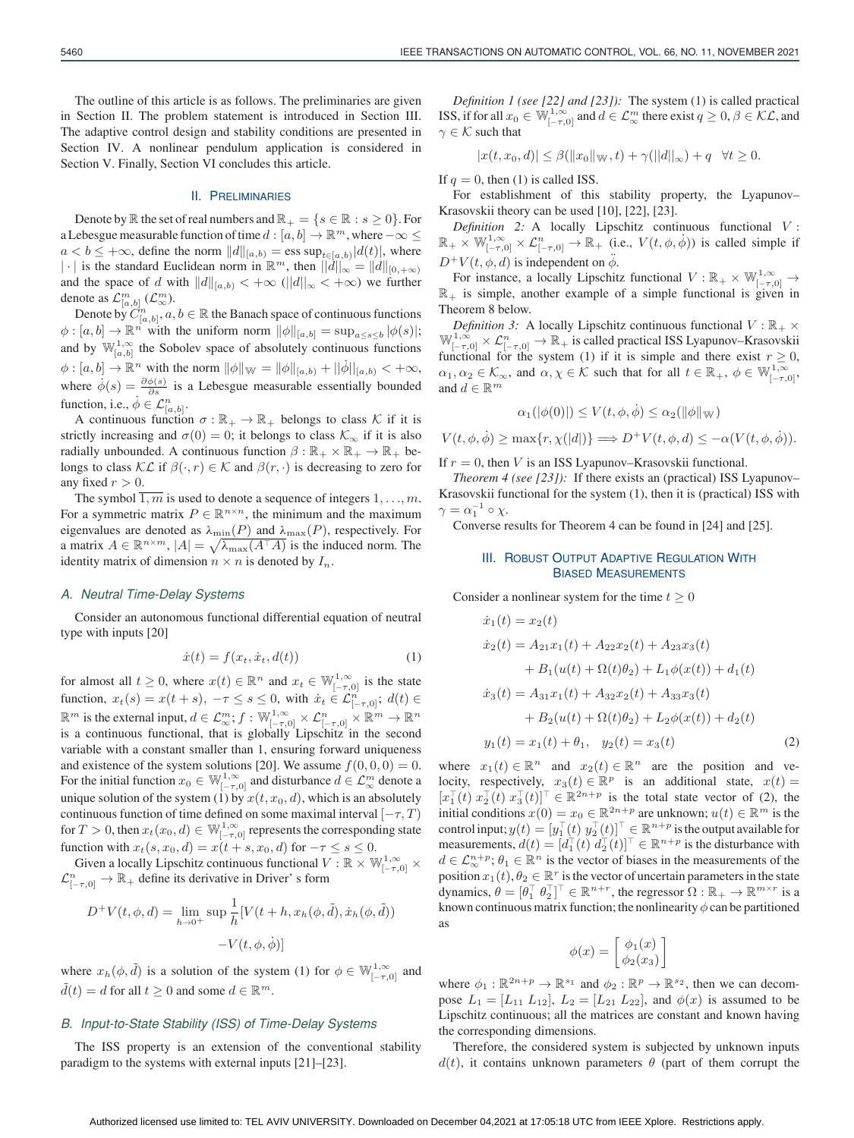#### II. PRELIMINARIES

Denote by  $\mathbb R$  the set of real numbers and  $\mathbb R_+ = \{s \in \mathbb R : s \geq 0\}$ . For a Lebesgue measurable function of time  $d : [a, b] \to \mathbb{R}^m$ , where  $-\infty \leq$  $a < b \leq +\infty$ , define the norm  $||d||_{[a,b)} = \text{ess sup}_{t \in [a,b)}|d(t)|$ , where |·| is the standard Euclidean norm in  $\mathbb{R}^m$ , then  $||d||_{\infty} = ||d||_{[0,+\infty)}$ and the space of d with  $||d||_{[a,b)} < +\infty$  ( $||d||_{\infty} < +\infty$ ) we further denote as  $\mathcal{L}^m_{[a,b]}$   $(\mathcal{L}^m_{\infty})$ .

Denote by  $C_{[a,b]}^n$ ,  $a, b \in \mathbb{R}$  the Banach space of continuous functions  $\phi : [a, b] \to \mathbb{R}^n$  with the uniform norm  $\|\phi\|_{[a, b]} = \sup_{a \le s \le b} |\phi(s)|;$ and by  $\mathbb{W}_{[a,b]}^{1,\infty}$  the Sobolev space of absolutely continuous functions  $\phi : [a, b] \to \mathbb{R}^n$  with the norm  $\|\phi\|_{\mathbb{W}} = \|\phi\|_{[a, b)} + |\phi||_{[a, b)} < +\infty$ , where  $\dot{\phi}(s) = \frac{\partial \phi(s)}{\partial s}$  is a Lebesgue measurable essentially bounded function, i.e.,  $\dot{\phi} \in \mathcal{L}_{[a,b]}^n$ .

A continuous function  $\sigma : \mathbb{R}_+ \to \mathbb{R}_+$  belongs to class K if it is strictly increasing and  $\sigma(0) = 0$ ; it belongs to class  $\mathcal{K}_{\infty}$  if it is also radially unbounded. A continuous function  $\beta : \mathbb{R}_+ \times \mathbb{R}_+ \to \mathbb{R}_+$  belongs to class  $\mathcal{KL}$  if  $\beta(\cdot, r) \in \mathcal{K}$  and  $\beta(r, \cdot)$  is decreasing to zero for any fixed  $r > 0$ .

The symbol  $\overline{1,m}$  is used to denote a sequence of integers  $1, \ldots, m$ . For a symmetric matrix  $P \in \mathbb{R}^{n \times n}$ , the minimum and the maximum eigenvalues are denoted as  $\lambda_{\min}(P)$  and  $\lambda_{\max}(P)$ , respectively. For a matrix  $A \in \mathbb{R}^{n \times m}$ ,  $|A| = \sqrt{\lambda_{\max}(A^{\top}A)}$  is the induced norm. The identity matrix of dimension  $n \times n$  is denoted by  $I_n$ .

# *A. Neutral Time-Delay Systems*

Consider an autonomous functional differential equation of neutral type with inputs [20]

$$
\dot{x}(t) = f(x_t, \dot{x}_t, d(t))\tag{1}
$$

for almost all  $t \geq 0$ , where  $x(t) \in \mathbb{R}^n$  and  $x_t \in \mathbb{W}_{[-\tau,0]}^{1,\infty}$  is the state function,  $x_t(s) = x(t+s)$ ,  $-\tau \le s \le 0$ , with  $\dot{x}_t \in \mathcal{L}_{[-\tau,0]}^n$ ;  $d(t) \in$  $\mathbb{R}^m$  is the external input,  $d\in\mathcal{L}^m_\infty;f:\mathbb{W}^{1,\infty}_{[-\tau,0]}\times\mathcal{L}^n_{[-\tau,0]}\times\mathbb{R}^m\to\mathbb{R}^n$ is a continuous functional, that is globally Lipschitz in the second variable with a constant smaller than 1, ensuring forward uniqueness and existence of the system solutions [20]. We assume  $f(0, 0, 0) = 0$ . For the initial function  $x_0 \in \mathbb{W}_{[-\tau,0]}^{1,\infty}$  and disturbance  $d \in \mathcal{L}_{\infty}^m$  denote a unique solution of the system (1) by  $x(t, x_0, d)$ , which is an absolutely continuous function of time defined on some maximal interval  $[-\tau, T)$ for  $T>0$ , then  $x_t(x_0,d)\in\mathbb{W}_{[-\tau,0]}^{1,\infty}$  represents the corresponding state function with  $x_t(s, x_0, d) = x(t + s, x_0, d)$  for  $-\tau \le s \le 0$ .

Given a locally Lipschitz continuous functional  $V : \mathbb{R} \times \mathbb{W}_{[-\tau,0]}^{1,\infty} \times$  $\mathcal{L}_{[-\tau,0]}^n \to \mathbb{R}_+$  define its derivative in Driver' s form

$$
D^+V(t, \phi, d) = \lim_{h \to 0^+} \sup \frac{1}{h} [V(t+h, x_h(\phi, \tilde{d}), \dot{x}_h(\phi, \tilde{d}))
$$

$$
-V(t, \phi, \dot{\phi})]
$$

where  $x_h(\phi, \tilde{d})$  is a solution of the system (1) for  $\phi \in \mathbb{W}_{[-\tau,0]}^{1,\infty}$  and  $\tilde{d}(t) = d$  for all  $t \geq 0$  and some  $d \in \mathbb{R}^m$ .

# *B. Input-to-State Stability (ISS) of Time-Delay Systems*

The ISS property is an extension of the conventional stability paradigm to the systems with external inputs [21]–[23].

*Definition 1 (see [22] and [23]):* The system (1) is called practical ISS, if for all  $x_0 \in \mathbb{W}_{[-\tau,0]}^{1,\infty}$  and  $d \in \mathcal{L}_{\infty}^m$  there exist  $q \ge 0, \beta \in \mathcal{KL}$ , and  $\gamma \in \mathcal{K}$  such that

$$
|x(t, x_0, d)| \leq \beta(||x_0||_{\mathbb{W}}, t) + \gamma(||d||_{\infty}) + q \quad \forall t \geq 0.
$$

If  $q = 0$ , then (1) is called ISS.

For establishment of this stability property, the Lyapunov– Krasovskii theory can be used [10], [22], [23].

*Definition 2:* A locally Lipschitz continuous functional V :  $\mathbb{R}_+ \times \mathbb{W}_{[-\tau,0]}^{1,\infty} \times \mathcal{L}_{[-\tau,0]}^n \to \mathbb{R}_+$  (i.e.,  $V(t, \phi, \dot{\phi})$ ) is called simple if  $D^+V(t, \phi, d)$  is independent on  $\ddot{\phi}$ .

For instance, a locally Lipschitz functional  $V : \mathbb{R}_+ \times \mathbb{W}_{[-\tau,0]}^{1,\infty} \to$  $\mathbb{R}_+$  is simple, another example of a simple functional is given in Theorem 8 below.

*Definition 3:* A locally Lipschitz continuous functional  $V : \mathbb{R}_+ \times$  $\mathbb{W}_{[-\tau,0]}^{1,\infty} \times \mathcal{L}_{[-\tau,0]}^n \to \mathbb{R}_+$  is called practical ISS Lyapunov–Krasovskii functional for the system (1) if it is simple and there exist  $r \geq 0$ ,  $\alpha_1, \alpha_2 \in \mathcal{K}_{\infty}$ , and  $\alpha, \chi \in \mathcal{K}$  such that for all  $t \in \mathbb{R}_+$ ,  $\phi \in \mathbb{W}^{1,\infty}_{[-\tau,0]},$ and  $d \in \mathbb{R}^m$ 

$$
\alpha_1(|\phi(0)|) \le V(t, \phi, \dot{\phi}) \le \alpha_2(||\phi||_{\mathcal{W}})
$$

$$
V(t, \phi, \dot{\phi}) \ge \max\{r, \chi(|d|)\} \Longrightarrow D^{+}V(t, \phi, d) \le -\alpha(V(t, \phi, \dot{\phi})).
$$

If  $r = 0$ , then V is an ISS Lyapunov–Krasovskii functional.

*Theorem 4 (see [23]):* If there exists an (practical) ISS Lyapunov– Krasovskii functional for the system (1), then it is (practical) ISS with  $\gamma = \alpha_1^{-1} \circ \chi.$ 

# **III. ROBUST OUTPUT ADAPTIVE REGULATION WITH**

Converse results for Theorem 4 can be found in [24] and [25].

BIASED MEASUREMENTS

Consider a nonlinear system for the time  $t \geq 0$ 

$$
\begin{aligned}\n\dot{x}_1(t) &= x_2(t) \\
\dot{x}_2(t) &= A_{21}x_1(t) + A_{22}x_2(t) + A_{23}x_3(t) \\
&\quad + B_1(u(t) + \Omega(t)\theta_2) + L_1\phi(x(t)) + d_1(t) \\
\dot{x}_3(t) &= A_{31}x_1(t) + A_{32}x_2(t) + A_{33}x_3(t) \\
&\quad + B_2(u(t) + \Omega(t)\theta_2) + L_2\phi(x(t)) + d_2(t) \\
\dot{y}_1(t) &= x_1(t) + \theta_1, \quad y_2(t) = x_3(t)\n\end{aligned}
$$
\n(2)

where  $x_1(t) \in \mathbb{R}^n$  and  $x_2(t) \in \mathbb{R}^n$  are the position and velocity, respectively,  $x_3(t) \in \mathbb{R}^p$  is an additional state,  $x(t) =$  $[x_1^{\top}(t) x_2^{\top}(t) x_3^{\top}(t)]^{\top} \in \mathbb{R}^{2n+p}$  is the total state vector of (2), the initial conditions  $x(0) = x_0 \in \mathbb{R}^{2n+p}$  are unknown;  $u(t) \in \mathbb{R}^m$  is the control input;  $y(t) = [y_1^\top (t) \ y_2^\top (t)]^\top \in \mathbb{R}^{n+p}$  is the output available for measurements,  $d(t) = [d_1^\top(t) \, d_2^\top(t)]^\top \in \mathbb{R}^{n+p}$  is the disturbance with  $d \in \mathcal{L}_{\infty}^{n+p}$ ;  $\theta_1 \in \mathbb{R}^n$  is the vector of biases in the measurements of the position  $x_1(t)$ ,  $\theta_2 \in \mathbb{R}^r$  is the vector of uncertain parameters in the state dynamics,  $\theta = [\theta_1^\top \ \theta_2^\top]^\top \in \mathbb{R}^{n+r}$ , the regressor  $\Omega : \mathbb{R}_+ \to \mathbb{R}^{m \times r}$  is a known continuous matrix function; the nonlinearity  $\phi$  can be partitioned as

$$
\phi(x) = \begin{bmatrix} \phi_1(x) \\ \phi_2(x_3) \end{bmatrix}
$$

where  $\phi_1 : \mathbb{R}^{2n+p} \to \mathbb{R}^{s_1}$  and  $\phi_2 : \mathbb{R}^p \to \mathbb{R}^{s_2}$ , then we can decompose  $L_1 = [L_{11} L_{12}], L_2 = [L_{21} L_{22}],$  and  $\phi(x)$  is assumed to be Lipschitz continuous; all the matrices are constant and known having the corresponding dimensions.

Therefore, the considered system is subjected by unknown inputs  $d(t)$ , it contains unknown parameters  $\theta$  (part of them corrupt the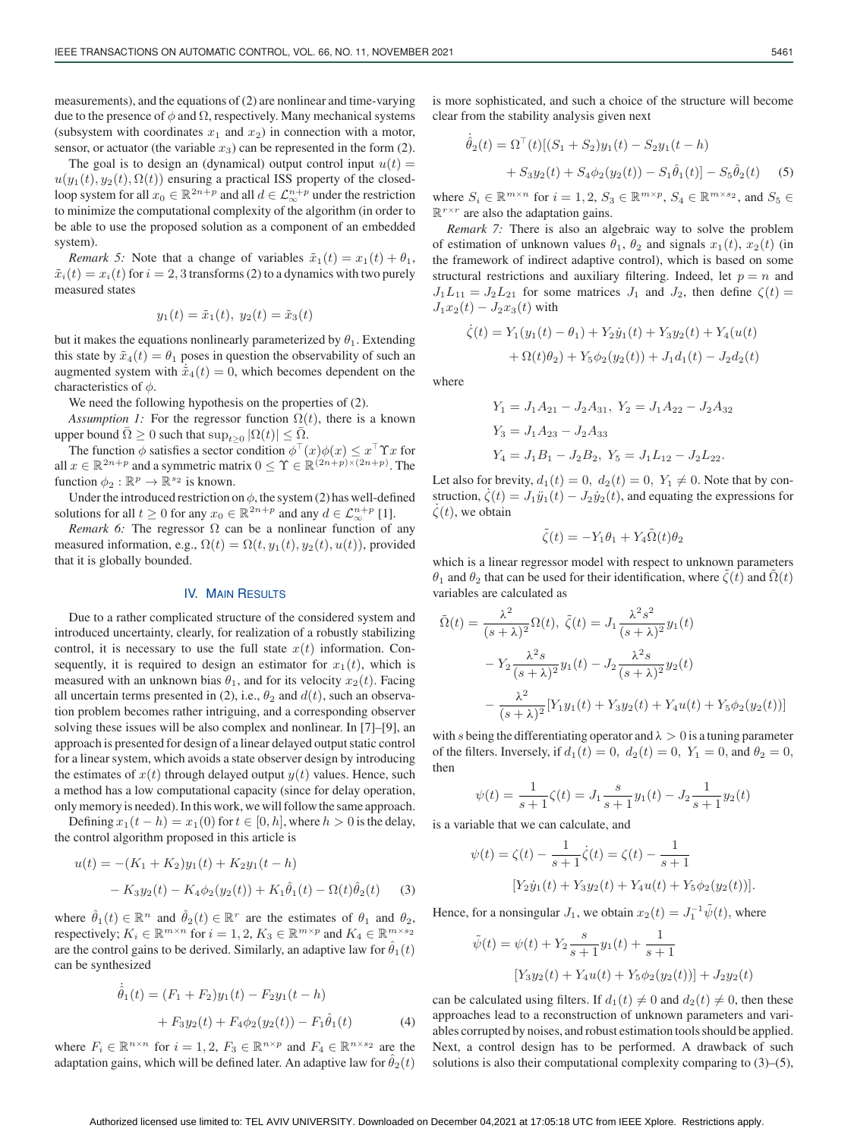measurements), and the equations of (2) are nonlinear and time-varying due to the presence of  $\phi$  and  $\Omega$ , respectively. Many mechanical systems (subsystem with coordinates  $x_1$  and  $x_2$ ) in connection with a motor, sensor, or actuator (the variable  $x_3$ ) can be represented in the form (2).

The goal is to design an (dynamical) output control input  $u(t)$  =  $u(y_1(t), y_2(t), \Omega(t))$  ensuring a practical ISS property of the closedloop system for all  $x_0 \in \mathbb{R}^{2n+p}$  and all  $d \in \mathcal{L}_{\infty}^{n+p}$  under the restriction to minimize the computational complexity of the algorithm (in order to be able to use the proposed solution as a component of an embedded system).

*Remark 5:* Note that a change of variables  $\tilde{x}_1(t) = x_1(t) + \theta_1$ ,  $\tilde{x}_i(t) = x_i(t)$  for  $i = 2, 3$  transforms (2) to a dynamics with two purely measured states

$$
y_1(t) = \tilde{x}_1(t), \ y_2(t) = \tilde{x}_3(t)
$$

but it makes the equations nonlinearly parameterized by  $\theta_1$ . Extending this state by  $\tilde{x}_4(t) = \theta_1$  poses in question the observability of such an augmented system with  $\tilde{x}_4(t)=0$ , which becomes dependent on the characteristics of  $\phi$ .

We need the following hypothesis on the properties of (2).

*Assumption 1:* For the regressor function  $\Omega(t)$ , there is a known upper bound  $\overline{\Omega} \geq 0$  such that  $\sup_{t>0} |\Omega(t)| \leq \overline{\Omega}$ .

The function  $\phi$  satisfies a sector condition  $\phi^{\top}(x)\phi(x) \leq x^{\top} \Upsilon x$  for all  $x \in \mathbb{R}^{2n+p}$  and a symmetric matrix  $0 \leq \Upsilon \in \mathbb{R}^{(2n+p)\times(2n+p)}$ . The function  $\phi_2 : \mathbb{R}^p \to \mathbb{R}^{s_2}$  is known.

Under the introduced restriction on  $\phi$ , the system (2) has well-defined solutions for all  $t \geq 0$  for any  $x_0 \in \mathbb{R}^{2n+p}$  and any  $d \in \mathcal{L}_{\infty}^{n+p}$  [1].

*Remark 6:* The regressor  $\Omega$  can be a nonlinear function of any measured information, e.g.,  $\Omega(t) = \Omega(t, y_1(t), y_2(t), u(t))$ , provided that it is globally bounded.

# IV. MAIN RESULTS

Due to a rather complicated structure of the considered system and introduced uncertainty, clearly, for realization of a robustly stabilizing control, it is necessary to use the full state  $x(t)$  information. Consequently, it is required to design an estimator for  $x_1(t)$ , which is measured with an unknown bias  $\theta_1$ , and for its velocity  $x_2(t)$ . Facing all uncertain terms presented in (2), i.e.,  $\theta_2$  and  $d(t)$ , such an observation problem becomes rather intriguing, and a corresponding observer solving these issues will be also complex and nonlinear. In [7]–[9], an approach is presented for design of a linear delayed output static control for a linear system, which avoids a state observer design by introducing the estimates of  $x(t)$  through delayed output  $y(t)$  values. Hence, such a method has a low computational capacity (since for delay operation, only memory is needed). In this work, we will follow the same approach.

Defining  $x_1(t - h) = x_1(0)$  for  $t \in [0, h]$ , where  $h > 0$  is the delay, the control algorithm proposed in this article is

$$
u(t) = -(K_1 + K_2)y_1(t) + K_2y_1(t - h)
$$
  
- K<sub>3</sub>y<sub>2</sub>(t) - K<sub>4</sub> $\phi$ <sub>2</sub>(y<sub>2</sub>(t)) + K<sub>1</sub> $\hat{\theta}$ <sub>1</sub>(t) -  $\Omega$ (t) $\hat{\theta}$ <sub>2</sub>(t) (3)

where  $\hat{\theta}_1(t) \in \mathbb{R}^n$  and  $\hat{\theta}_2(t) \in \mathbb{R}^r$  are the estimates of  $\theta_1$  and  $\theta_2$ , respectively;  $K_i \in \mathbb{R}^{m \times n}$  for  $i = 1, 2, K_3 \in \mathbb{R}^{m \times p}$  and  $K_4 \in \mathbb{R}^{m \times s_2}$ are the control gains to be derived. Similarly, an adaptive law for  $\hat{\theta}_1(t)$ can be synthesized

$$
\dot{\hat{\theta}}_1(t) = (F_1 + F_2)y_1(t) - F_2y_1(t - h) \n+ F_3y_2(t) + F_4\phi_2(y_2(t)) - F_1\hat{\theta}_1(t)
$$
\n(4)

where  $F_i \in \mathbb{R}^{n \times n}$  for  $i = 1, 2, F_3 \in \mathbb{R}^{n \times p}$  and  $F_4 \in \mathbb{R}^{n \times s_2}$  are the adaptation gains, which will be defined later. An adaptive law for  $\hat{\theta}_2(t)$ 

is more sophisticated, and such a choice of the structure will become clear from the stability analysis given next

$$
\dot{\hat{\theta}}_2(t) = \Omega^{\top}(t)[(S_1 + S_2)y_1(t) - S_2y_1(t - h) + S_3y_2(t) + S_4\phi_2(y_2(t)) - S_1\hat{\theta}_1(t)] - S_5\hat{\theta}_2(t)
$$
(5)

where  $S_i \in \mathbb{R}^{m \times n}$  for  $i = 1, 2, S_3 \in \mathbb{R}^{m \times p}$ ,  $S_4 \in \mathbb{R}^{m \times s_2}$ , and  $S_5 \in$  $\mathbb{R}^{r \times r}$  are also the adaptation gains.

*Remark 7:* There is also an algebraic way to solve the problem of estimation of unknown values  $\theta_1$ ,  $\theta_2$  and signals  $x_1(t)$ ,  $x_2(t)$  (in the framework of indirect adaptive control), which is based on some structural restrictions and auxiliary filtering. Indeed, let  $p = n$  and  $J_1L_{11} = J_2L_{21}$  for some matrices  $J_1$  and  $J_2$ , then define  $\zeta(t) =$  $J_1x_2(t) - J_2x_3(t)$  with

$$
\dot{\zeta}(t) = Y_1(y_1(t) - \theta_1) + Y_2 \dot{y}_1(t) + Y_3 y_2(t) + Y_4(u(t)) + \Omega(t)\theta_2) + Y_5 \phi_2(y_2(t)) + J_1 d_1(t) - J_2 d_2(t)
$$

where

$$
Y_1 = J_1 A_{21} - J_2 A_{31}, Y_2 = J_1 A_{22} - J_2 A_{32}
$$
  
\n
$$
Y_3 = J_1 A_{23} - J_2 A_{33}
$$
  
\n
$$
Y_4 = J_1 B_1 - J_2 B_2, Y_5 = J_1 L_{12} - J_2 L_{22}.
$$

Let also for brevity,  $d_1(t) = 0$ ,  $d_2(t) = 0$ ,  $Y_1 \neq 0$ . Note that by construction,  $\dot{\zeta}(t) = J_1 \ddot{y}_1(t) - J_2 \dot{y}_2(t)$ , and equating the expressions for  $\dot{\zeta}(t)$ , we obtain  $\zeta(t)$ , we obtain

$$
\tilde{\zeta}(t) = -Y_1\theta_1 + Y_4\tilde{\Omega}(t)\theta_2
$$

which is a linear regressor model with respect to unknown parameters θ<sub>1</sub> and θ<sub>2</sub> that can be used for their identification, where  $\zeta(t)$  and  $\Omega(t)$ variables are calculated as

$$
\tilde{\Omega}(t) = \frac{\lambda^2}{(s+\lambda)^2} \Omega(t), \ \tilde{\zeta}(t) = J_1 \frac{\lambda^2 s^2}{(s+\lambda)^2} y_1(t)
$$

$$
- Y_2 \frac{\lambda^2 s}{(s+\lambda)^2} y_1(t) - J_2 \frac{\lambda^2 s}{(s+\lambda)^2} y_2(t)
$$

$$
- \frac{\lambda^2}{(s+\lambda)^2} [Y_1 y_1(t) + Y_3 y_2(t) + Y_4 u(t) + Y_5 \phi_2(y_2(t))]
$$

with s being the differentiating operator and  $\lambda > 0$  is a tuning parameter of the filters. Inversely, if  $d_1(t)=0$ ,  $d_2(t)=0$ ,  $Y_1 = 0$ , and  $\theta_2 = 0$ , then

$$
\psi(t) = \frac{1}{s+1}\zeta(t) = J_1 \frac{s}{s+1} y_1(t) - J_2 \frac{1}{s+1} y_2(t)
$$

is a variable that we can calculate, and

$$
\psi(t) = \zeta(t) - \frac{1}{s+1}\dot{\zeta}(t) = \zeta(t) - \frac{1}{s+1}
$$

$$
[Y_2\dot{y}_1(t) + Y_3y_2(t) + Y_4u(t) + Y_5\phi_2(y_2(t))].
$$

Hence, for a nonsingular  $J_1$ , we obtain  $x_2(t) = J_1^{-1} \tilde{\psi}(t)$ , where

$$
\tilde{\psi}(t) = \psi(t) + Y_2 \frac{s}{s+1} y_1(t) + \frac{1}{s+1}
$$
  
[ $Y_3y_2(t) + Y_4u(t) + Y_5\phi_2(y_2(t))$ ] +  $J_2y_2(t)$ 

can be calculated using filters. If  $d_1(t) \neq 0$  and  $d_2(t) \neq 0$ , then these approaches lead to a reconstruction of unknown parameters and variables corrupted by noises, and robust estimation tools should be applied. Next, a control design has to be performed. A drawback of such solutions is also their computational complexity comparing to (3)–(5),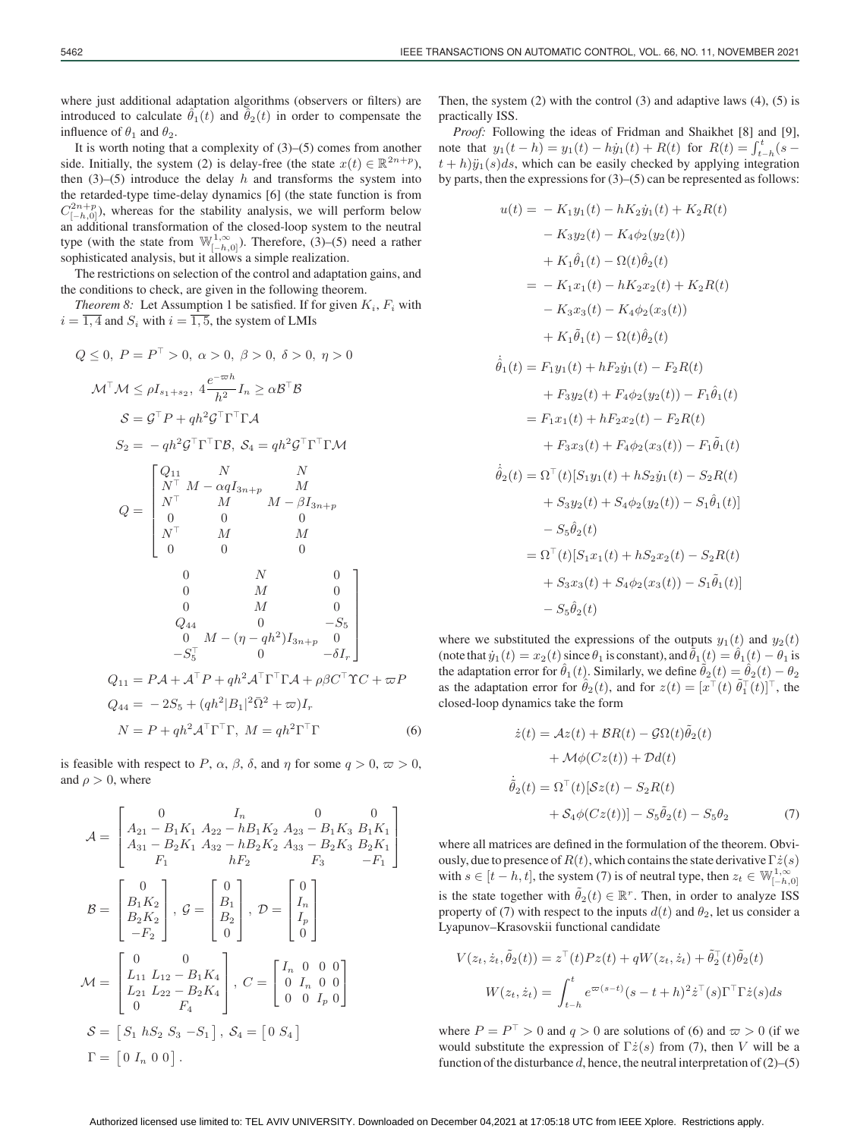where just additional adaptation algorithms (observers or filters) are introduced to calculate  $\theta_1(t)$  and  $\theta_2(t)$  in order to compensate the influence of  $\theta_1$  and  $\theta_2$ .

It is worth noting that a complexity of  $(3)$ – $(5)$  comes from another side. Initially, the system (2) is delay-free (the state  $x(t) \in \mathbb{R}^{2n+p}$ ), then  $(3)$ – $(5)$  introduce the delay h and transforms the system into the retarded-type time-delay dynamics [6] (the state function is from  $C_{[-h,0]}^{2n+p}$ ), whereas for the stability analysis, we will perform below an additional transformation of the closed-loop system to the neutral type (with the state from  $\mathbb{W}_{[-h,0]}^{1,\infty}$ ). Therefore, (3)–(5) need a rather sophisticated analysis, but it allows a simple realization.

The restrictions on selection of the control and adaptation gains, and the conditions to check, are given in the following theorem.

*Theorem 8:* Let Assumption 1 be satisfied. If for given  $K_i$ ,  $F_i$  with  $i = \overline{1, 4}$  and  $S_i$  with  $i = \overline{1, 5}$ , the system of LMIs

$$
Q \le 0, P = P^{\top} > 0, \alpha > 0, \beta > 0, \delta > 0, \eta > 0
$$
  
\n
$$
\mathcal{M}^{\top} \mathcal{M} \le \rho I_{s_1+s_2}, 4\frac{e^{-\varpi h}}{h^2} I_n \ge \alpha \mathcal{B}^{\top} \mathcal{B}
$$
  
\n
$$
\mathcal{S} = \mathcal{G}^{\top} P + q h^2 \mathcal{G}^{\top} \Gamma^{\top} \Gamma \mathcal{A}
$$
  
\n
$$
S_2 = -q h^2 \mathcal{G}^{\top} \Gamma^{\top} \Gamma \mathcal{B}, \ S_4 = q h^2 \mathcal{G}^{\top} \Gamma^{\top} \Gamma \mathcal{M}
$$
  
\n
$$
Q = \begin{bmatrix} Q_{11} & N & N \\ N^{\top} & M & M \\ N^{\top} & M & M \\ N^{\top} & M & M \\ N^{\top} & M & M \\ 0 & 0 & 0 \\ N^{\top} & M & M \\ 0 & 0 & 0 \end{bmatrix}
$$
  
\n
$$
Q_1
$$
  
\n
$$
Q_2
$$
  
\n
$$
Q_3
$$
  
\n
$$
Q_4
$$
  
\n
$$
Q_4
$$
  
\n
$$
Q_5
$$
  
\n
$$
Q_5
$$
  
\n
$$
Q_6
$$
  
\n
$$
Q_7
$$
  
\n
$$
Q_8
$$
  
\n
$$
Q_9
$$
  
\n
$$
Q_9
$$
  
\n
$$
Q_4
$$
  
\n
$$
Q_5
$$
  
\n
$$
Q_7
$$
  
\n
$$
Q_8
$$
  
\n
$$
Q_9
$$
  
\n
$$
Q_9
$$
  
\n
$$
Q_4
$$
  
\n
$$
Q_5
$$
  
\n
$$
Q_{11} = P \mathcal{A} + \mathcal{A}^{\top} P + q h^2 \mathcal{A}^{\top} \Gamma^{\top} \Gamma \mathcal{A} + \rho \beta C^{\top} \Upsilon C + \varpi P
$$
  
\n
$$
Q_{24} = -2
$$

is feasible with respect to P,  $\alpha$ ,  $\beta$ ,  $\delta$ , and  $\eta$  for some  $q > 0$ ,  $\varpi > 0$ , and  $\rho > 0$ , where

$$
\mathcal{A} = \begin{bmatrix}\n0 & I_n & 0 & 0 \\
A_{21} - B_1 K_1 A_{22} - h B_1 K_2 A_{23} - B_1 K_3 B_1 K_1 \\
A_{31} - B_2 K_1 A_{32} - h B_2 K_2 A_{33} - B_2 K_3 B_2 K_1 \\
F_1 & h F_2 & F_3 & -F_1\n\end{bmatrix}
$$
\n
$$
\mathcal{B} = \begin{bmatrix}\n0 \\
B_1 K_2 \\
B_2 K_2 \\
-F_2\n\end{bmatrix}, \quad \mathcal{G} = \begin{bmatrix}\n0 \\
B_1 \\
B_2 \\
0\n\end{bmatrix}, \quad \mathcal{D} = \begin{bmatrix}\n0 \\
I_n \\
I_p \\
0\n\end{bmatrix}
$$
\n
$$
\mathcal{M} = \begin{bmatrix}\n0 & 0 \\
L_{11} L_{12} - B_1 K_4 \\
L_{21} L_{22} - B_2 K_4 \\
0 & F_4\n\end{bmatrix}, \quad C = \begin{bmatrix}\nI_n & 0 & 0 & 0 \\
0 & I_n & 0 & 0 \\
0 & 0 & I_p & 0\n\end{bmatrix}
$$
\n
$$
\mathcal{S} = \begin{bmatrix}\nS_1 h S_2 S_3 - S_1\n\end{bmatrix}, \quad \mathcal{S}_4 = \begin{bmatrix}\n0 & S_4\n\end{bmatrix}
$$
\n
$$
\Gamma = \begin{bmatrix}\n0 & I_n & 0 & 0\n\end{bmatrix}.
$$

Then, the system  $(2)$  with the control  $(3)$  and adaptive laws  $(4)$ ,  $(5)$  is practically ISS.

*Proof:* Following the ideas of Fridman and Shaikhet [8] and [9], note that  $y_1(t - h) = y_1(t) - hy_1(t) + R(t)$  for  $R(t) = \int_{t-h}^{t} (s - t) dt$  $t + h$ ) $\ddot{y}_1(s)ds$ , which can be easily checked by applying integration by parts, then the expressions for (3)–(5) can be represented as follows:

$$
u(t) = -K_1y_1(t) - hK_2\dot{y}_1(t) + K_2R(t)
$$
  
\n
$$
-K_3y_2(t) - K_4\phi_2(y_2(t))
$$
  
\n
$$
+ K_1\hat{\theta}_1(t) - \Omega(t)\hat{\theta}_2(t)
$$
  
\n
$$
= -K_1x_1(t) - hK_2x_2(t) + K_2R(t)
$$
  
\n
$$
- K_3x_3(t) - K_4\phi_2(x_3(t))
$$
  
\n
$$
+ K_1\tilde{\theta}_1(t) - \Omega(t)\hat{\theta}_2(t)
$$
  
\n
$$
\dot{\theta}_1(t) = F_1y_1(t) + hF_2\dot{y}_1(t) - F_2R(t)
$$
  
\n
$$
+ F_3y_2(t) + F_4\phi_2(y_2(t)) - F_1\hat{\theta}_1(t)
$$
  
\n
$$
= F_1x_1(t) + hF_2x_2(t) - F_2R(t)
$$
  
\n
$$
+ F_3x_3(t) + F_4\phi_2(x_3(t)) - F_1\tilde{\theta}_1(t)
$$
  
\n
$$
\dot{\theta}_2(t) = \Omega^{\top}(t)[S_1y_1(t) + hS_2\dot{y}_1(t) - S_2R(t)
$$
  
\n
$$
+ S_3y_2(t) + S_4\phi_2(y_2(t)) - S_1\hat{\theta}_1(t)]
$$
  
\n
$$
- S_5\hat{\theta}_2(t)
$$
  
\n
$$
= \Omega^{\top}(t)[S_1x_1(t) + hS_2x_2(t) - S_2R(t)
$$
  
\n
$$
+ S_3x_3(t) + S_4\phi_2(x_3(t)) - S_1\tilde{\theta}_1(t)]
$$
  
\n
$$
- S_5\hat{\theta}_2(t)
$$

where we substituted the expressions of the outputs  $y_1(t)$  and  $y_2(t)$ (note that  $\dot{y}_1(t) = x_2(t)$  since  $\theta_1$  is constant), and  $\dot{\theta}_1(t) = \ddot{\theta}_1(t) - \theta_1$  is the adaptation error for  $\hat{\theta}_1(t)$ . Similarly, we define  $\tilde{\theta}_2(t) = \hat{\theta}_2(t) - \theta_2$ as the adaptation error for  $\hat{\theta}_2(t)$ , and for  $z(t)=[x^{\top}(t) \tilde{\theta}_1^{\top}(t)]^{\top}$ , the closed-loop dynamics take the form

$$
\dot{z}(t) = Az(t) + BR(t) - G\Omega(t)\tilde{\theta}_2(t) \n+ M\phi(Cz(t)) + Dd(t) \n\dot{\tilde{\theta}}_2(t) = \Omega^{\top}(t)[Sz(t) - S_2R(t) \n+ S_4\phi(Cz(t))] - S_5\tilde{\theta}_2(t) - S_5\theta_2
$$
\n(7)

where all matrices are defined in the formulation of the theorem. Obviously, due to presence of  $R(t)$ , which contains the state derivative  $\Gamma \dot{z}(s)$ with  $s \in [t-h, t]$ , the system (7) is of neutral type, then  $z_t \in \mathbb{W}_{[-h,0]}^{1,\infty}$ is the state together with  $\tilde{\theta}_2(t) \in \mathbb{R}^r$ . Then, in order to analyze ISS property of (7) with respect to the inputs  $d(t)$  and  $\theta_2$ , let us consider a Lyapunov–Krasovskii functional candidate

$$
V(z_t, \dot{z}_t, \tilde{\theta}_2(t)) = z^{\top}(t)Pz(t) + qW(z_t, \dot{z}_t) + \tilde{\theta}_2^{\top}(t)\tilde{\theta}_2(t)
$$

$$
W(z_t, \dot{z}_t) = \int_{t-h}^t e^{\varpi(s-t)}(s-t+h)^2 \dot{z}^{\top}(s)\Gamma^{\top}\Gamma\dot{z}(s)ds
$$

where  $P = P^{\top} > 0$  and  $q > 0$  are solutions of (6) and  $\varpi > 0$  (if we would substitute the expression of  $\Gamma \dot{z}(s)$  from (7), then V will be a function of the disturbance d, hence, the neutral interpretation of  $(2)$ – $(5)$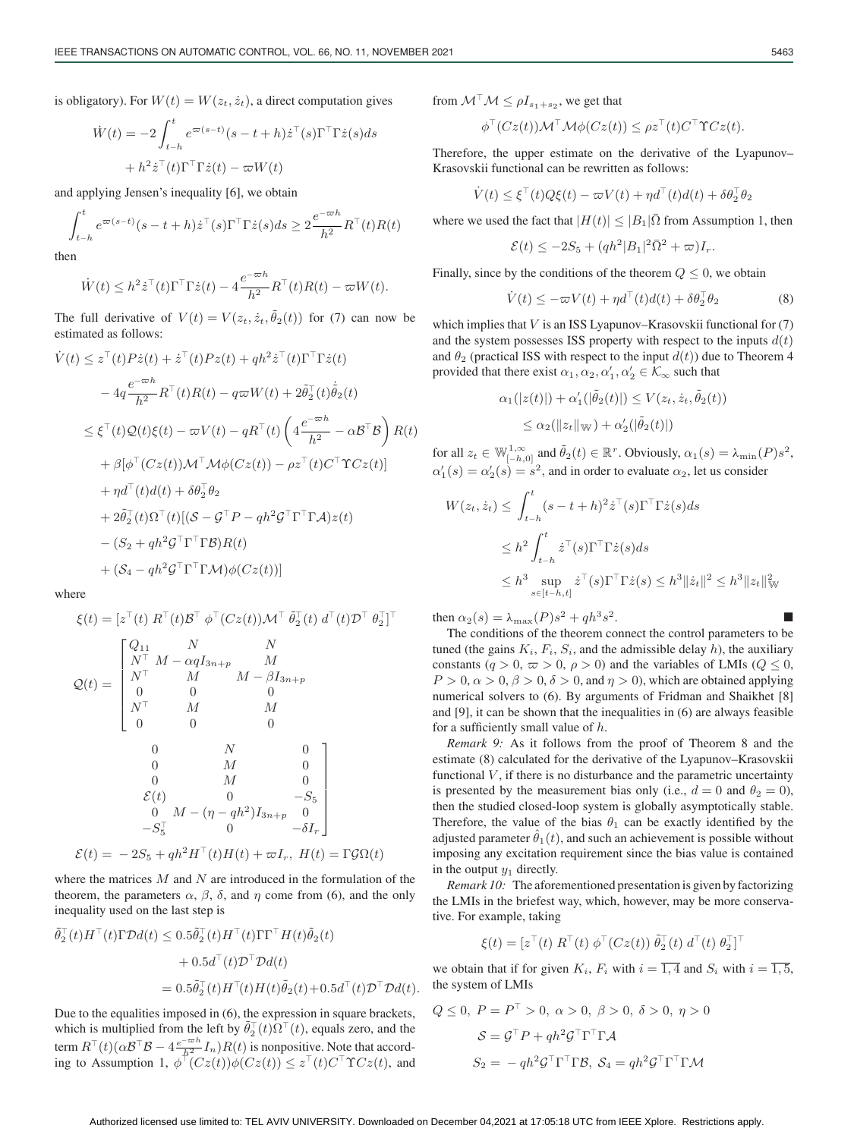is obligatory). For  $W(t) = W(z_t, \dot{z}_t)$ , a direct computation gives

$$
\dot{W}(t) = -2 \int_{t-h}^{t} e^{\varpi(s-t)} (s-t+h) \dot{z}^\top(s) \Gamma^\top \Gamma \dot{z}(s) ds
$$

$$
+ h^2 \dot{z}^\top(t) \Gamma^\top \Gamma \dot{z}(t) - \varpi W(t)
$$

and applying Jensen's inequality [6], we obtain

$$
\int_{t-h}^{t} e^{\varpi(s-t)} (s-t+h) \dot{z}^\top(s) \Gamma^\top \Gamma \dot{z}(s) ds \ge 2 \frac{e^{-\varpi h}}{h^2} R^\top(t) R(t)
$$

then

$$
\dot{W}(t) \leq h^2 \dot{z}^\top(t) \Gamma^\top \Gamma \dot{z}(t) - 4 \frac{e^{-\varpi h}}{h^2} R^\top(t) R(t) - \varpi W(t).
$$

The full derivative of  $V(t) = V(z_t, \dot{z}_t, \tilde{\theta}_2(t))$  for (7) can now be estimated as follows:

$$
\dot{V}(t) \leq z^{\top}(t)P\dot{z}(t) + \dot{z}^{\top}(t)Pz(t) + qh^{2}\dot{z}^{\top}(t)\Gamma^{\top}\Gamma\dot{z}(t) \n- 4q\frac{e^{-\varpi h}}{h^{2}}R^{\top}(t)R(t) - q\varpi W(t) + 2\tilde{\theta}_{2}^{\top}(t)\dot{\tilde{\theta}}_{2}(t) \n\leq \xi^{\top}(t)Q(t)\xi(t) - \varpi V(t) - qR^{\top}(t)\left(4\frac{e^{-\varpi h}}{h^{2}} - \alpha\mathcal{B}^{\top}\mathcal{B}\right)R(t) \n+ \beta[\phi^{\top}(Cz(t))\mathcal{M}^{\top}\mathcal{M}\phi(Cz(t)) - \rho z^{\top}(t)C^{\top}\Upsilon Cz(t)] \n+ \eta d^{\top}(t)d(t) + \delta\theta_{2}^{\top}\theta_{2} \n+ 2\tilde{\theta}_{2}^{\top}(t)\Omega^{\top}(t)[(\mathcal{S} - \mathcal{G}^{\top}P - qh^{2}\mathcal{G}^{\top}\Gamma^{\top}\Gamma\mathcal{A})z(t) \n- (S_{2} + qh^{2}\mathcal{G}^{\top}\Gamma^{\top}\Gamma\mathcal{B})R(t) \n+ (\mathcal{S}_{4} - qh^{2}\mathcal{G}^{\top}\Gamma^{\top}\Gamma\mathcal{M})\phi(Cz(t))]
$$

where

$$
\xi(t) = [z^{\top}(t) R^{\top}(t) \mathcal{B}^{\top} \phi^{\top}(Cz(t)) \mathcal{M}^{\top} \tilde{\theta}_{2}^{\top}(t) d^{\top}(t) \mathcal{D}^{\top} \theta_{2}^{\top}]^{\top}
$$
  
\n
$$
\mathcal{Q}(t) = \begin{bmatrix}\nQ_{11} & N & N \\
N^{\top} & M & M \\
N^{\top} & M & M \\
N & M & -\beta I_{3n+p} \\
0 & 0 & 0 \\
N^{\top} & M & M \\
0 & 0 & 0 \\
0 & M & 0 \\
0 & M & 0 \\
0 & M & 0 \\
0 & M & 0 \\
0 & M & 0 \\
0 & M & 0 \\
0 & M & -S_{5} \\
0 & M & -\gamma I_{n+p}\n\end{bmatrix}
$$
  
\n
$$
\mathcal{E}(t) = -2S_{5} + qh^{2}H^{\top}(t)H(t) + \varpi I_{r}, H(t) = \Gamma \mathcal{G} \Omega(t)
$$

where the matrices  $M$  and  $N$  are introduced in the formulation of the theorem, the parameters  $\alpha$ ,  $\beta$ ,  $\delta$ , and  $\eta$  come from (6), and the only inequality used on the last step is

$$
\tilde{\theta}_2^{\top}(t)H^{\top}(t)\Gamma \mathcal{D}d(t) \leq 0.5\tilde{\theta}_2^{\top}(t)H^{\top}(t)\Gamma \Gamma^{\top}H(t)\tilde{\theta}_2(t) \n+ 0.5d^{\top}(t)\mathcal{D}^{\top}\mathcal{D}d(t) \n= 0.5\tilde{\theta}_2^{\top}(t)H^{\top}(t)H(t)\tilde{\theta}_2(t) + 0.5d^{\top}(t)\mathcal{D}^{\top}\mathcal{D}d(t).
$$

Due to the equalities imposed in (6), the expression in square brackets, which is multiplied from the left by  $\tilde{\theta}_2^{\top}(t)\Omega^{\top}(t)$ , equals zero, and the term  $R^{\top}(t)(\alpha \mathcal{B}^{\top} \mathcal{B} - 4 \frac{e^{-\varpi h}}{h^2} I_n) R(t)$  is nonpositive. Note that according to Assumption 1,  $\phi^{\dagger}(Cz(t))\phi(Cz(t)) \leq z^{\top}(t)C^{\top}\Upsilon Cz(t)$ , and from  $\mathcal{M}^\top \mathcal{M} \leq \rho I_{s_1+s_2}$ , we get that

$$
\phi^{\top}(Cz(t))\mathcal{M}^{\top}\mathcal{M}\phi(Cz(t)) \leq \rho z^{\top}(t)C^{\top}\Upsilon Cz(t).
$$

Therefore, the upper estimate on the derivative of the Lyapunov– Krasovskii functional can be rewritten as follows:

$$
\dot{V}(t) \leq \xi^{\top}(t)Q\xi(t) - \varpi V(t) + \eta d^{\top}(t)d(t) + \delta\theta_2^{\top}\theta_2
$$

where we used the fact that  $|H(t)| \leq |B_1|\overline{\Omega}$  from Assumption 1, then

$$
\mathcal{E}(t) \le -2S_5 + (qh^2|B_1|^2\bar{\Omega}^2 + \varpi)I_r.
$$

Finally, since by the conditions of the theorem  $Q \leq 0$ , we obtain

$$
\dot{V}(t) \le -\varpi V(t) + \eta d^{\top}(t) d(t) + \delta \theta_2^{\top} \theta_2 \tag{8}
$$

which implies that  $V$  is an ISS Lyapunov–Krasovskii functional for  $(7)$ and the system possesses ISS property with respect to the inputs  $d(t)$ and  $\theta_2$  (practical ISS with respect to the input  $d(t)$ ) due to Theorem 4 provided that there exist  $\alpha_1, \alpha_2, \alpha'_1, \alpha'_2 \in \mathcal{K}_{\infty}$  such that

$$
\alpha_1(|z(t)|) + \alpha'_1(|\tilde{\theta}_2(t)|) \le V(z_t, \dot{z}_t, \tilde{\theta}_2(t))
$$
  

$$
\le \alpha_2(||z_t||_{\mathbb{W}}) + \alpha'_2(|\tilde{\theta}_2(t)|)
$$

for all  $z_t \in \mathbb{W}_{[-h,0]}^{1,\infty}$  and  $\tilde{\theta}_2(t) \in \mathbb{R}^r$ . Obviously,  $\alpha_1(s) = \lambda_{\min}(P)s^2$ ,  $\alpha'_1(s) = \alpha'_2(s) = s^2$ , and in order to evaluate  $\alpha_2$ , let us consider

$$
W(z_t, \dot{z}_t) \leq \int_{t-h}^t (s-t+h)^2 \dot{z}^\top(s) \Gamma^\top \Gamma \dot{z}(s) ds
$$
  
\n
$$
\leq h^2 \int_{t-h}^t \dot{z}^\top(s) \Gamma^\top \Gamma \dot{z}(s) ds
$$
  
\n
$$
\leq h^3 \sup_{s \in [t-h,t]} \dot{z}^\top(s) \Gamma^\top \Gamma \dot{z}(s) \leq h^3 ||\dot{z}_t||^2 \leq h^3 ||z_t||_{\mathbb{W}}^2
$$

then  $\alpha_2(s) = \lambda_{\text{max}}(P)s^2 + qh^3s^2$ .

The conditions of the theorem connect the control parameters to be tuned (the gains  $K_i$ ,  $F_i$ ,  $S_i$ , and the admissible delay h), the auxiliary constants  $(q > 0, \infty > 0, \rho > 0)$  and the variables of LMIs  $(Q \le 0,$  $P > 0$ ,  $\alpha > 0$ ,  $\beta > 0$ ,  $\delta > 0$ , and  $\eta > 0$ ), which are obtained applying numerical solvers to (6). By arguments of Fridman and Shaikhet [8] and [9], it can be shown that the inequalities in (6) are always feasible for a sufficiently small value of  $h$ .

*Remark 9:* As it follows from the proof of Theorem 8 and the estimate (8) calculated for the derivative of the Lyapunov–Krasovskii functional  $V$ , if there is no disturbance and the parametric uncertainty is presented by the measurement bias only (i.e.,  $d = 0$  and  $\theta_2 = 0$ ), then the studied closed-loop system is globally asymptotically stable. Therefore, the value of the bias  $\theta_1$  can be exactly identified by the adjusted parameter  $\theta_1(t)$ , and such an achievement is possible without imposing any excitation requirement since the bias value is contained in the output  $y_1$  directly.

*Remark 10:* The aforementioned presentation is given by factorizing the LMIs in the briefest way, which, however, may be more conservative. For example, taking

$$
\xi(t) = [z^{\top}(t) \; R^{\top}(t) \; \phi^{\top}(Cz(t)) \; \tilde{\theta}_2^{\top}(t) \; d^{\top}(t) \; \theta_2^{\top}]^{\top}
$$

we obtain that if for given  $K_i$ ,  $F_i$  with  $i = \overline{1, 4}$  and  $S_i$  with  $i = \overline{1, 5}$ , the system of LMIs

$$
Q \le 0, P = P^{\top} > 0, \alpha > 0, \beta > 0, \delta > 0, \eta > 0
$$

$$
S = \mathcal{G}^{\top} P + q h^2 \mathcal{G}^{\top} \Gamma^{\top} \Gamma \mathcal{A}
$$

$$
S_2 = -q h^2 \mathcal{G}^{\top} \Gamma^{\top} \Gamma \mathcal{B}, \ S_4 = q h^2 \mathcal{G}^{\top} \Gamma^{\top} \Gamma \mathcal{M}
$$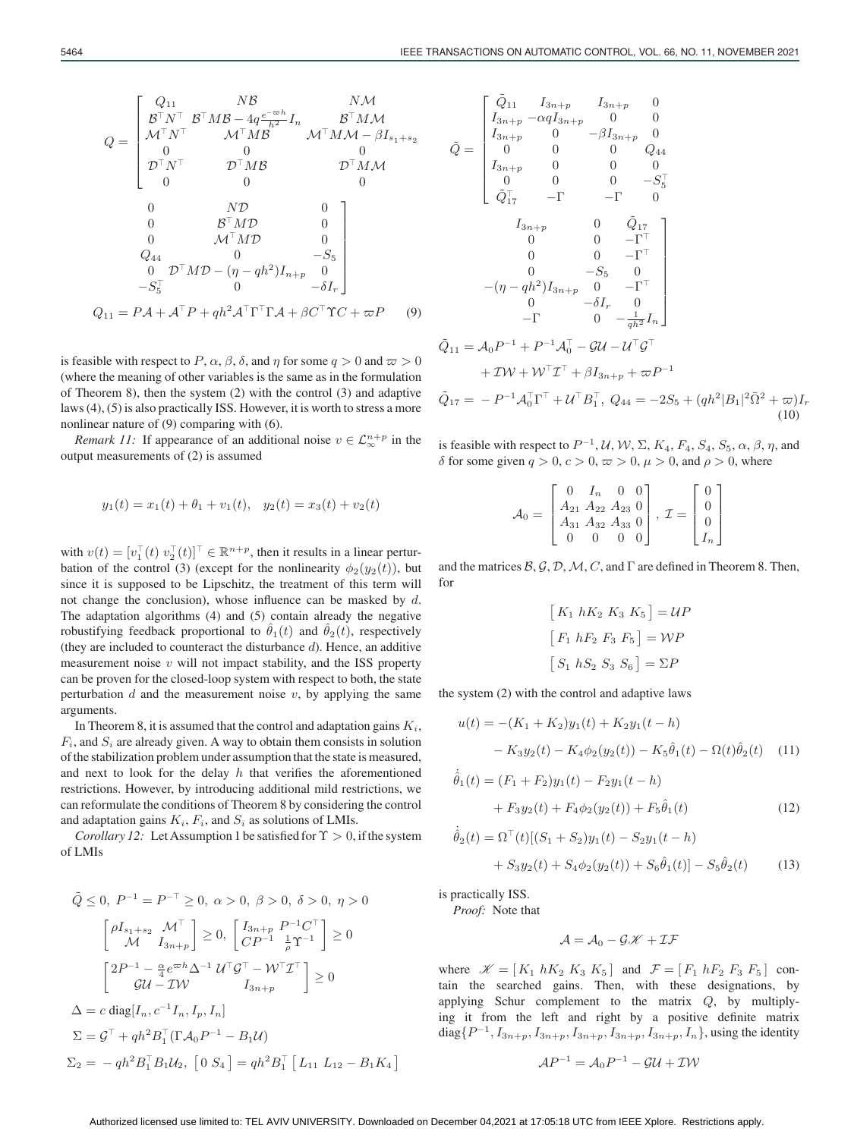is feasible with respect to P,  $\alpha$ ,  $\beta$ ,  $\delta$ , and  $\eta$  for some  $q > 0$  and  $\varpi > 0$ (where the meaning of other variables is the same as in the formulation of Theorem 8), then the system (2) with the control (3) and adaptive laws (4), (5) is also practically ISS. However, it is worth to stress a more nonlinear nature of (9) comparing with (6).

 $Q_{11} = P\mathcal{A} + \mathcal{A}^{\top}P + qh^2\mathcal{A}^{\top}\Gamma^{\top}\Gamma\mathcal{A} + \beta C^{\top}\Upsilon C + \varpi P$  (9)

0  $N\mathcal{D}$  0 0  $B^{\top}M\mathcal{D}$  0 0  $\mathcal{M}^\top M \mathcal{D}$  0  $Q_{44}$  0 −S<sub>5</sub>  $0 \quad \mathcal{D}^\top M \mathcal{D} - (\eta - q h^2) I_{n+p} \quad 0$  $-S_5^{\top}$  0  $-\delta I_r$ 

 $Q_{11}$   $NB$   $NM$ BN BMB − 4q <sup>e</sup>−-h <sup>h</sup><sup>2</sup> <sup>I</sup><sup>n</sup> <sup>B</sup>M<sup>M</sup>  $\mathcal{M}^\top N^\top \qquad \quad \mathcal{M}^\top M \overline{\mathcal{B}}^n \qquad \quad \mathcal{M}^\top M \mathcal{M} - \beta I_{s_1 + s_2}$ 00 0  $\mathcal{D}^{\top}N^{\top}$   $\mathcal{D}^{\top}MB$   $\mathcal{D}^{\top}M\mathcal{M}$ 00 0

⎤

⎥ ⎥ ⎥ ⎥ ⎥ ⎥ ⎦

*Remark 11:* If appearance of an additional noise  $v \in \mathcal{L}_{\infty}^{n+p}$  in the output measurements of (2) is assumed

$$
y_1(t) = x_1(t) + \theta_1 + v_1(t), \quad y_2(t) = x_3(t) + v_2(t)
$$

with  $v(t) = [v_1^{\top}(t) \ v_2^{\top}(t)]^{\top} \in \mathbb{R}^{n+p}$ , then it results in a linear perturbation of the control (3) (except for the nonlinearity  $\phi_2(y_2(t))$ , but since it is supposed to be Lipschitz, the treatment of this term will not change the conclusion), whose influence can be masked by  $d$ . The adaptation algorithms (4) and (5) contain already the negative robustifying feedback proportional to  $\hat{\theta}_1(t)$  and  $\hat{\theta}_2(t)$ , respectively (they are included to counteract the disturbance  $d$ ). Hence, an additive measurement noise  $v$  will not impact stability, and the ISS property can be proven for the closed-loop system with respect to both, the state perturbation  $d$  and the measurement noise  $v$ , by applying the same arguments.

In Theorem 8, it is assumed that the control and adaptation gains  $K_i$ ,  $F_i$ , and  $S_i$  are already given. A way to obtain them consists in solution of the stabilization problem under assumption that the state is measured, and next to look for the delay  $h$  that verifies the aforementioned restrictions. However, by introducing additional mild restrictions, we can reformulate the conditions of Theorem 8 by considering the control and adaptation gains  $K_i$ ,  $F_i$ , and  $S_i$  as solutions of LMIs.

*Corollary 12:* Let Assumption 1 be satisfied for  $\Upsilon > 0$ , if the system of LMIs

$$
\tilde{Q} \leq 0, \ P^{-1} = P^{-\top} \geq 0, \ \alpha > 0, \ \beta > 0, \ \delta > 0, \ \eta > 0
$$
\n
$$
\begin{bmatrix}\n\rho I_{s_1+s_2} & \mathcal{M}^{\top} \\
\mathcal{M} & I_{3n+p}\n\end{bmatrix} \geq 0, \ \begin{bmatrix}\nI_{3n+p} & P^{-1}C^{\top} \\
CP^{-1} & \frac{1}{p}\Upsilon^{-1}\n\end{bmatrix} \geq 0
$$
\n
$$
\begin{bmatrix}\n2P^{-1} - \frac{\alpha}{4}e^{\varpi h}\Delta^{-1} & \mathcal{U}^{\top}\mathcal{G}^{\top} - \mathcal{W}^{\top}\mathcal{I}^{\top} \\
\mathcal{G}\mathcal{U} - \mathcal{I}\mathcal{W} & I_{3n+p}\n\end{bmatrix} \geq 0
$$
\n
$$
\Delta = c \operatorname{diag}[I_n, c^{-1}I_n, I_p, I_n]
$$
\n
$$
\Sigma = \mathcal{G}^{\top} + qh^2B_1^{\top}(\Gamma A_0 P^{-1} - B_1 \mathcal{U})
$$
\n
$$
\Sigma_2 = -qh^2B_1^{\top}B_1\mathcal{U}_2, \ \left[0, S_4\right] = qh^2B_1^{\top} \left[L_{11} L_{12} - B_1 K_4\right]
$$

$$
\tilde{Q} = \begin{bmatrix}\nI_{3n+p} - \alpha q I_{3n+p} & 0 & 0 \\
I_{3n+p} & 0 & -\beta I_{3n+p} & 0 \\
0 & 0 & 0 & Q_{44} \\
I_{3n+p} & 0 & 0 & 0 \\
0 & 0 & 0 & -S_5^{\top} \\
\tilde{Q}_{17}^{\top} & -\Gamma & -\Gamma & 0\n\end{bmatrix}
$$
\n
$$
I_{3n+p} \qquad 0 \qquad \tilde{Q}_{17}^{\top} \\
0 \qquad 0 & -\Gamma^{\top} \\
0 \qquad 0 & -\Gamma^{\top} \\
0 \qquad -S_5 \qquad 0 \\
-(\eta - q h^2) I_{3n+p} & 0 & -\Gamma^{\top} \\
0 \qquad -\delta I_r & 0 \\
-\Gamma & 0 & -\frac{1}{q h^2} I_n\n\end{bmatrix}
$$
\n
$$
\tilde{Q}_{11} = A_0 P^{-1} + P^{-1} A_0^{\top} - \mathcal{G} \mathcal{U} - \mathcal{U}^{\top} \mathcal{G}^{\top}
$$
\n
$$
+ \mathcal{I} \mathcal{W} + \mathcal{W}^{\top} \mathcal{I}^{\top} + \beta I_{3n+p} + \varpi P^{-1}
$$
\n
$$
\tilde{Q}_{17} = -P^{-1} A_0^{\top} \Gamma^{\top} + \mathcal{U}^{\top} B_1^{\top}, Q_{44} = -2S_5 + (q h^2 |B_1|^2 \bar{\Omega}^2 + \varpi) I_r
$$

is feasible with respect to  $P^{-1}$ ,  $\mathcal{U}$ ,  $\mathcal{W}$ ,  $\Sigma$ ,  $K_4$ ,  $F_4$ ,  $S_4$ ,  $S_5$ ,  $\alpha$ ,  $\beta$ ,  $\eta$ , and δ for some given  $q > 0$ ,  $c > 0$ ,  $\varpi > 0$ ,  $\mu > 0$ , and  $\rho > 0$ , where

 $(10)$ 

$$
\mathcal{A}_0 = \begin{bmatrix} 0 & I_n & 0 & 0 \\ A_{21} & A_{22} & A_{23} & 0 \\ A_{31} & A_{32} & A_{33} & 0 \\ 0 & 0 & 0 & 0 \end{bmatrix}, \mathcal{I} = \begin{bmatrix} 0 \\ 0 \\ 0 \\ I_n \end{bmatrix}
$$

and the matrices  $\mathcal{B}, \mathcal{G}, \mathcal{D}, \mathcal{M}, C$ , and  $\Gamma$  are defined in Theorem 8. Then, for

$$
[K_1 hK_2 K_3 K_5] = UP
$$
  

$$
[F_1 hF_2 F_3 F_5] = WP
$$
  

$$
[S_1 hS_2 S_3 S_6] = \Sigma P
$$

the system (2) with the control and adaptive laws

$$
u(t) = -(K_1 + K_2)y_1(t) + K_2y_1(t - h)
$$

$$
- K_3y_2(t) - K_4\phi_2(y_2(t)) - K_5\hat{\theta}_1(t) - \Omega(t)\hat{\theta}_2(t) \quad (11)
$$

$$
\hat{\theta}_1(t) = (F_1 + F_2)y_1(t) - F_2y_1(t - h) \n+ F_3y_2(t) + F_4\phi_2(y_2(t)) + F_5\hat{\theta}_1(t)
$$
\n(12)

$$
\hat{\theta}_2(t) = \Omega^{\top}(t)[(S_1 + S_2)y_1(t) - S_2y_1(t - h) + S_3y_2(t) + S_4\phi_2(y_2(t)) + S_6\hat{\theta}_1(t)] - S_5\hat{\theta}_2(t)
$$
(13)

is practically ISS.

*Proof:* Note that

$$
\mathcal{A}=\mathcal{A}_0-\mathcal{G}\mathscr{K}+\mathcal{I}\mathcal{F}
$$

where  $\mathcal{K} = [K_1 \ hK_2 \ K_3 \ K_5]$  and  $\mathcal{F} = [F_1 \ hF_2 \ F_3 \ F_5]$  contain the searched gains. Then, with these designations, by applying Schur complement to the matrix Q, by multiplying it from the left and right by a positive definite matrix diag $\{P^{-1}, I_{3n+p}, I_{3n+p}, I_{3n+p}, I_{3n+p}, I_{3n+p}, I_n\}$ , using the identity

$$
\mathcal{A}P^{-1} = \mathcal{A}_0P^{-1} - \mathcal{G}\mathcal{U} + \mathcal{I}\mathcal{W}
$$

 $\int \tilde{Q}_{11}$   $I_{3n+p}$   $I_{3n+p}$  0

 $Q =$ 

 $\lceil$ 

 $\blacksquare$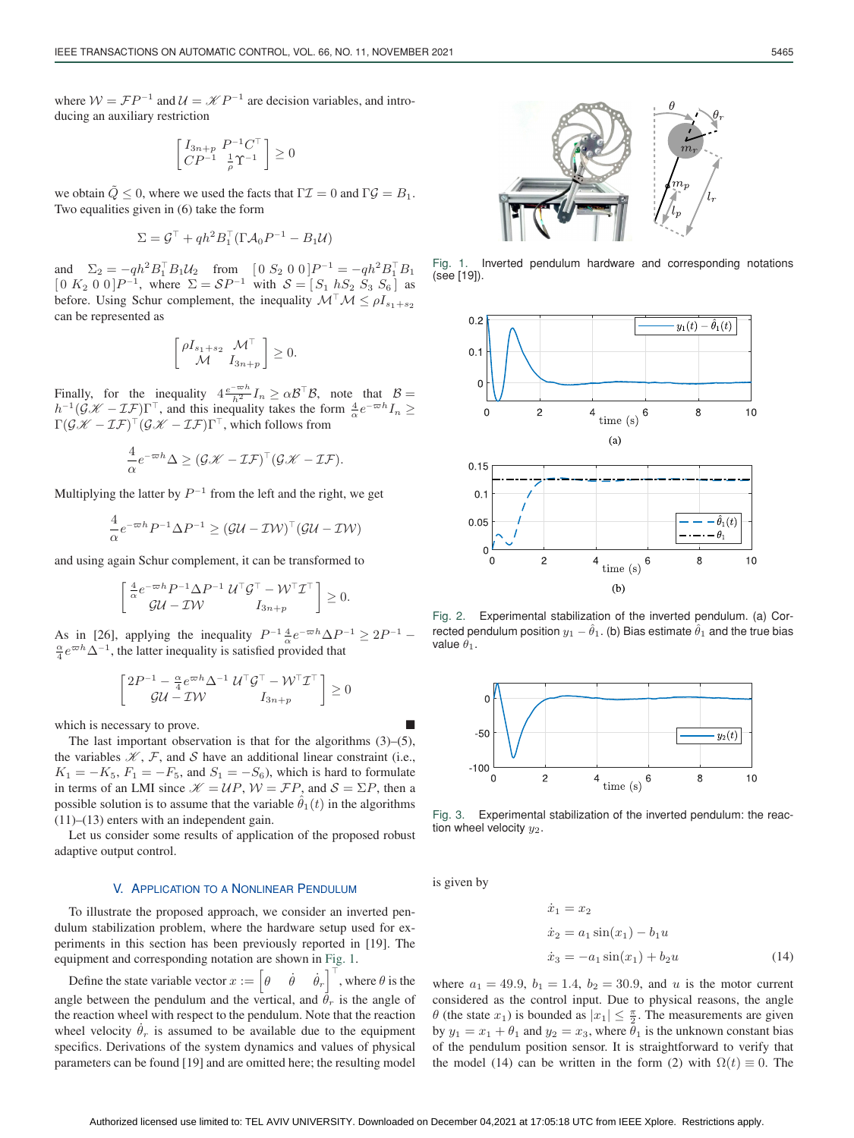where  $W = \mathcal{F}P^{-1}$  and  $\mathcal{U} = \mathcal{K}P^{-1}$  are decision variables, and introducing an auxiliary restriction

$$
\left[\begin{smallmatrix} I_{3n+p} & P^{-1}C^\top \\ CP^{-1} & \frac{1}{\rho}\Upsilon^{-1}\end{smallmatrix}\right] \geq 0
$$

we obtain  $\tilde{Q} \le 0$ , where we used the facts that  $\Gamma \mathcal{I} = 0$  and  $\Gamma \mathcal{G} = B_1$ . Two equalities given in (6) take the form

$$
\Sigma = \mathcal{G}^\top + qh^2 B_1^\top (\Gamma \mathcal{A}_0 P^{-1} - B_1 \mathcal{U})
$$

and  $\Sigma_2 = -qh^2 B_1^\top B_1 \mathcal{U}_2$  from  $[0 \ S_2 \ 0 \ 0] P^{-1} = -qh^2 B_1^\top B_1$  $[0 K_2 0 0]P^{-1}$ , where  $\Sigma = \mathcal{S}P^{-1}$  with  $\mathcal{S} = [S_1 hS_2 S_3 S_6]$  as before. Using Schur complement, the inequality  $\mathcal{M}^{\top} \mathcal{M} \leq \rho I_{s_1+s_2}$ can be represented as

$$
\begin{bmatrix} \rho I_{s_1+s_2} & \mathcal{M}^\top \\ \mathcal{M} & I_{3n+p} \end{bmatrix} \geq 0.
$$

Finally, for the inequality  $4\frac{e^{-\varpi h}}{h^2}I_n \ge \alpha \mathcal{B}^\top \mathcal{B}$ , note that  $\mathcal{B} =$  $h^{-1}(\mathcal{GK} - \mathcal{I}\mathcal{F})\Gamma^{\top}$ , and this inequality takes the form  $\frac{4}{\alpha}e^{-\varpi h}I_n \geq$  $\Gamma(\mathcal{GK} - \mathcal{I\mathcal{F}})^{\top}(\mathcal{GK} - \mathcal{I\mathcal{F}})^{\top}$ , which follows from

$$
\frac{4}{\alpha}e^{-\varpi h}\Delta \geq (\mathcal{GK} - \mathcal{I\!F})^{\top}(\mathcal{GK} - \mathcal{I\!F}).
$$

Multiplying the latter by  $P^{-1}$  from the left and the right, we get

$$
\frac{4}{\alpha}e^{-\varpi h}P^{-1}\Delta P^{-1} \geq (\mathcal{GU} - \mathcal{IW})^{\top}(\mathcal{GU} - \mathcal{IW})
$$

and using again Schur complement, it can be transformed to

$$
\begin{bmatrix} \frac{4}{\alpha} e^{-\varpi h} P^{-1} \Delta P^{-1} \mathcal{U}^\top \mathcal{G}^\top - \mathcal{W}^\top \mathcal{I}^\top \\ \mathcal{G} \mathcal{U} - \mathcal{I} \mathcal{W} & I_{3n+p} \end{bmatrix} \geq 0.
$$

As in [26], applying the inequality  $P^{-1} \frac{4}{\alpha} e^{-\varpi h} \Delta P^{-1} \geq 2P^{-1} - \frac{\alpha}{\alpha} e^{\varpi h} \Delta^{-1}$  the latter inequality is satisfied provided that  $\frac{\alpha}{4} e^{\varpi h} \Delta^{-1}$ , the latter inequality is satisfied provided that

$$
\begin{bmatrix} 2P^{-1} - \frac{\alpha}{4}e^{\varpi h} \Delta^{-1} \mathcal{U}^{\top} \mathcal{G}^{\top} - \mathcal{W}^{\top} \mathcal{I}^{\top} \\ \mathcal{G} \mathcal{U} - \mathcal{I} \mathcal{W} & I_{3n+p} \end{bmatrix} \geq 0
$$

which is necessary to prove.

The last important observation is that for the algorithms  $(3)$ – $(5)$ , the variables  $K$ ,  $F$ , and  $S$  have an additional linear constraint (i.e.,  $K_1 = -K_5$ ,  $F_1 = -F_5$ , and  $S_1 = -S_6$ ), which is hard to formulate in terms of an LMI since  $K = UP$ ,  $W = FP$ , and  $S = \Sigma P$ , then a possible solution is to assume that the variable  $\hat{\theta}_1(t)$  in the algorithms (11)–(13) enters with an independent gain.

Let us consider some results of application of the proposed robust adaptive output control.

# V. APPLICATION TO A NONLINEAR PENDULUM

To illustrate the proposed approach, we consider an inverted pendulum stabilization problem, where the hardware setup used for experiments in this section has been previously reported in [19]. The equipment and corresponding notation are shown in Fig. 1.

Define the state variable vector  $x := \begin{bmatrix} \theta & \dot{\theta} \end{bmatrix}$  $(\dot{\theta}_r)^{\top}$ , where  $\theta$  is the angle between the pendulum and the vertical, and  $\ddot{\theta}_r$  is the angle of the reaction wheel with respect to the pendulum. Note that the reaction wheel velocity  $\dot{\theta}_r$  is assumed to be available due to the equipment specifics. Derivations of the system dynamics and values of physical parameters can be found [19] and are omitted here; the resulting model



Fig. 1. Inverted pendulum hardware and corresponding notations (see [19]).



Fig. 2. Experimental stabilization of the inverted pendulum. (a) Corrected pendulum position  $y_1 - \hat{\theta}_1.$  (b) Bias estimate  $\hat{\theta}_1$  and the true bias value  $\theta_1$ .



Fig. 3. Experimental stabilization of the inverted pendulum: the reaction wheel velocity  $y_2$ .

is given by

$$
\begin{aligned}\n\dot{x}_1 &= x_2\\ \n\dot{x}_2 &= a_1 \sin(x_1) - b_1 u\\ \n\dot{x}_3 &= -a_1 \sin(x_1) + b_2 u\n\end{aligned} \tag{14}
$$

where  $a_1 = 49.9, b_1 = 1.4, b_2 = 30.9,$  and u is the motor current considered as the control input. Due to physical reasons, the angle  $\theta$  (the state  $x_1$ ) is bounded as  $|x_1| \leq \frac{\pi}{2}$ . The measurements are given by  $y_1 = x_1 + \theta_1$  and  $y_2 = x_3$ , where  $\theta_1$  is the unknown constant bias of the pendulum position sensor. It is straightforward to verify that the model (14) can be written in the form (2) with  $\Omega(t) \equiv 0$ . The